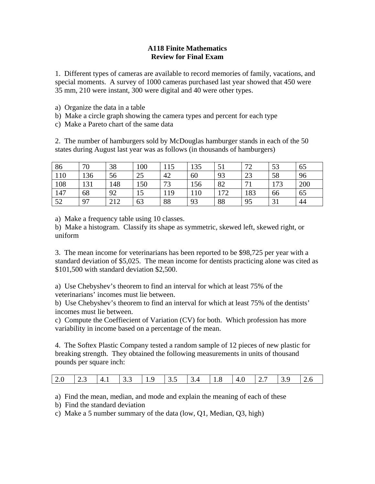## **A118 Finite Mathematics Review for Final Exam**

1. Different types of cameras are available to record memories of family, vacations, and special moments. A survey of 1000 cameras purchased last year showed that 450 were 35 mm, 210 were instant, 300 were digital and 40 were other types.

- a) Organize the data in a table
- b) Make a circle graph showing the camera types and percent for each type
- c) Make a Pareto chart of the same data

2. The number of hamburgers sold by McDouglas hamburger stands in each of the 50 states during August last year was as follows (in thousands of hamburgers)

| 86  | 70  | 38  | 100 | 115<br>1 I J | 135 | 51  | 72  | 53  | 65  |
|-----|-----|-----|-----|--------------|-----|-----|-----|-----|-----|
| 110 | 136 | 56  | 25  | 42           | 60  | 93  | 23  | 58  | 96  |
| 108 | 131 | 148 | 150 | 73           | 156 | 82  | 71  | 173 | 200 |
| 147 | 68  | 92  | 15  | 119          | 110 | 172 | 183 | 66  | 65  |
| 52  | 97  | 212 | 63  | 88           | 93  | 88  | 95  | 31  | 44  |

a) Make a frequency table using 10 classes.

b) Make a histogram. Classify its shape as symmetric, skewed left, skewed right, or uniform

3. The mean income for veterinarians has been reported to be \$98,725 per year with a standard deviation of \$5,025. The mean income for dentists practicing alone was cited as \$101,500 with standard deviation \$2,500.

a) Use Chebyshev's theorem to find an interval for which at least 75% of the veterinarians' incomes must lie between.

b) Use Chebyshev's theorem to find an interval for which at least 75% of the dentists' incomes must lie between.

c) Compute the Coeffiecient of Variation (CV) for both. Which profession has more variability in income based on a percentage of the mean.

4. The Softex Plastic Company tested a random sample of 12 pieces of new plastic for breaking strength. They obtained the following measurements in units of thousand pounds per square inch:

| 2.0<br>4.1<br>$\vert 2.7 \vert$<br>$ 33 $ 19<br>12.3<br>т. о<br>ັ້<br>.<br>ັ້ |  |  |  |  |  |  |
|-------------------------------------------------------------------------------|--|--|--|--|--|--|
|                                                                               |  |  |  |  |  |  |

a) Find the mean, median, and mode and explain the meaning of each of these

b) Find the standard deviation

c) Make a 5 number summary of the data (low, Q1, Median, Q3, high)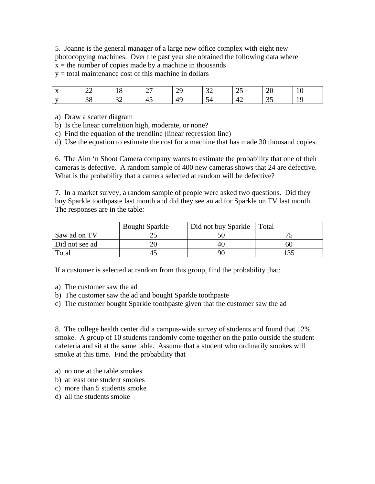5. Joanne is the general manager of a large new office complex with eight new photocopying machines. Over the past year she obtained the following data where  $x =$  the number of copies made by a machine in thousands

 $y =$  total maintenance cost of this machine in dollars

| $\mathbf{v}$             | $\sim$                   | 1 O          | $\sim$   | ററ               | $\Omega$                        | $\bigcap$ | $\Delta$     | 1 V           |
|--------------------------|--------------------------|--------------|----------|------------------|---------------------------------|-----------|--------------|---------------|
| $\overline{\phantom{a}}$ | $\overline{\phantom{m}}$ | 10           | <u>.</u> | ر ب              | ◡                               | رے        | ZU           |               |
| $\rightarrow$            | 38                       | $\sim$<br>ىر | 4ა       | $\sqrt{2}$<br>49 | $\overline{\phantom{0}}$<br>-54 | 44        | $\sim$<br>ັບ | ∼<br><b>*</b> |

a) Draw a scatter diagram

- b) Is the linear correlation high, moderate, or none?
- c) Find the equation of the trendline (linear reqression line)
- d) Use the equation to estimate the cost for a machine that has made 30 thousand copies.

6. The Aim 'n Shoot Camera company wants to estimate the probability that one of their cameras is defective. A random sample of 400 new cameras shows that 24 are defective. What is the probability that a camera selected at random will be defective?

7. In a market survey, a random sample of people were asked two questions. Did they buy Sparkle toothpaste last month and did they see an ad for Sparkle on TV last month. The responses are in the table:

|                | <b>Bought Sparkle</b> | Did not buy Sparkle | Total |
|----------------|-----------------------|---------------------|-------|
| Saw ad on TV   |                       |                     |       |
| Did not see ad |                       | 40                  |       |
| Total          |                       | 90                  |       |

If a customer is selected at random from this group, find the probability that:

- a) The customer saw the ad
- b) The customer saw the ad and bought Sparkle toothpaste
- c) The customer bought Sparkle toothpaste given that the customer saw the ad

8. The college health center did a campus-wide survey of students and found that 12% smoke. A group of 10 students randomly come together on the patio outside the student cafeteria and sit at the same table. Assume that a student who ordinarily smokes will smoke at this time. Find the probability that

- a) no one at the table smokes
- b) at least one student smokes
- c) more than 5 students smoke
- d) all the students smoke